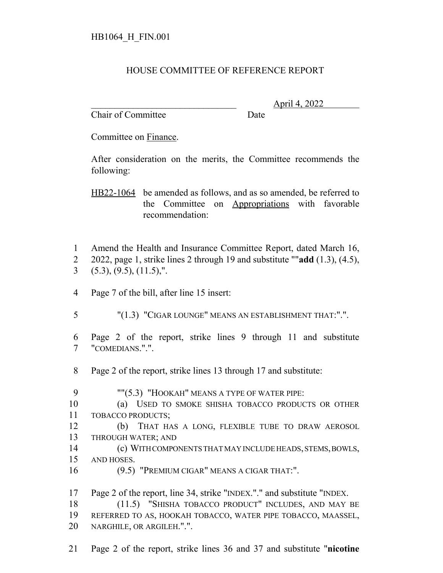## HOUSE COMMITTEE OF REFERENCE REPORT

Chair of Committee Date

\_\_\_\_\_\_\_\_\_\_\_\_\_\_\_\_\_\_\_\_\_\_\_\_\_\_\_\_\_\_\_ April 4, 2022

Committee on Finance.

After consideration on the merits, the Committee recommends the following:

HB22-1064 be amended as follows, and as so amended, be referred to the Committee on Appropriations with favorable recommendation:

- Amend the Health and Insurance Committee Report, dated March 16,
- 2022, page 1, strike lines 2 through 19 and substitute ""**add** (1.3), (4.5),  $3(5.3), (9.5), (11.5),".$
- Page 7 of the bill, after line 15 insert:
- "(1.3) "CIGAR LOUNGE" MEANS AN ESTABLISHMENT THAT:".".

 Page 2 of the report, strike lines 9 through 11 and substitute "COMEDIANS.".".

Page 2 of the report, strike lines 13 through 17 and substitute:

9 ""(5.3) "HOOKAH" MEANS A TYPE OF WATER PIPE: (a) USED TO SMOKE SHISHA TOBACCO PRODUCTS OR OTHER TOBACCO PRODUCTS; (b) THAT HAS A LONG, FLEXIBLE TUBE TO DRAW AEROSOL THROUGH WATER; AND (c) WITH COMPONENTS THAT MAY INCLUDE HEADS, STEMS, BOWLS, AND HOSES. (9.5) "PREMIUM CIGAR" MEANS A CIGAR THAT:". Page 2 of the report, line 34, strike "INDEX."." and substitute "INDEX. (11.5) "SHISHA TOBACCO PRODUCT" INCLUDES, AND MAY BE REFERRED TO AS, HOOKAH TOBACCO, WATER PIPE TOBACCO, MAASSEL, NARGHILE, OR ARGILEH.".".

Page 2 of the report, strike lines 36 and 37 and substitute "**nicotine**